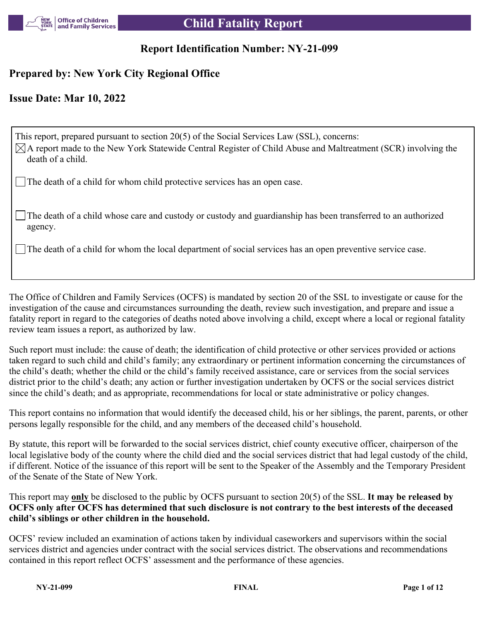

# **Report Identification Number: NY-21-099**

# **Prepared by: New York City Regional Office**

# **Issue Date: Mar 10, 2022**

This report, prepared pursuant to section 20(5) of the Social Services Law (SSL), concerns:  $\boxtimes$ A report made to the New York Statewide Central Register of Child Abuse and Maltreatment (SCR) involving the death of a child. The death of a child for whom child protective services has an open case.

The death of a child whose care and custody or custody and guardianship has been transferred to an authorized agency.

The death of a child for whom the local department of social services has an open preventive service case.

The Office of Children and Family Services (OCFS) is mandated by section 20 of the SSL to investigate or cause for the investigation of the cause and circumstances surrounding the death, review such investigation, and prepare and issue a fatality report in regard to the categories of deaths noted above involving a child, except where a local or regional fatality review team issues a report, as authorized by law.

Such report must include: the cause of death; the identification of child protective or other services provided or actions taken regard to such child and child's family; any extraordinary or pertinent information concerning the circumstances of the child's death; whether the child or the child's family received assistance, care or services from the social services district prior to the child's death; any action or further investigation undertaken by OCFS or the social services district since the child's death; and as appropriate, recommendations for local or state administrative or policy changes.

This report contains no information that would identify the deceased child, his or her siblings, the parent, parents, or other persons legally responsible for the child, and any members of the deceased child's household.

By statute, this report will be forwarded to the social services district, chief county executive officer, chairperson of the local legislative body of the county where the child died and the social services district that had legal custody of the child, if different. Notice of the issuance of this report will be sent to the Speaker of the Assembly and the Temporary President of the Senate of the State of New York.

This report may **only** be disclosed to the public by OCFS pursuant to section 20(5) of the SSL. **It may be released by OCFS only after OCFS has determined that such disclosure is not contrary to the best interests of the deceased child's siblings or other children in the household.**

OCFS' review included an examination of actions taken by individual caseworkers and supervisors within the social services district and agencies under contract with the social services district. The observations and recommendations contained in this report reflect OCFS' assessment and the performance of these agencies.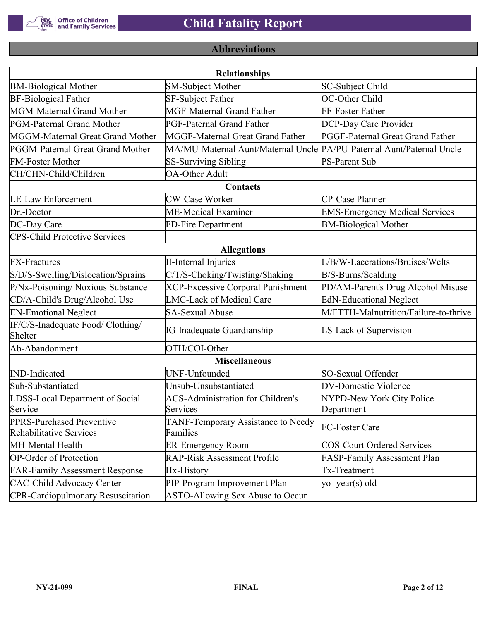

# **Abbreviations**

| <b>Relationships</b>                                 |                                                                       |                                       |  |  |  |  |  |
|------------------------------------------------------|-----------------------------------------------------------------------|---------------------------------------|--|--|--|--|--|
| <b>BM-Biological Mother</b>                          | <b>SM-Subject Mother</b>                                              | SC-Subject Child                      |  |  |  |  |  |
| <b>BF-Biological Father</b>                          | SF-Subject Father                                                     | OC-Other Child                        |  |  |  |  |  |
| MGM-Maternal Grand Mother                            | <b>MGF-Maternal Grand Father</b>                                      | FF-Foster Father                      |  |  |  |  |  |
| PGM-Paternal Grand Mother                            | PGF-Paternal Grand Father                                             | DCP-Day Care Provider                 |  |  |  |  |  |
| MGGM-Maternal Great Grand Mother                     | MGGF-Maternal Great Grand Father                                      | PGGF-Paternal Great Grand Father      |  |  |  |  |  |
| PGGM-Paternal Great Grand Mother                     | MA/MU-Maternal Aunt/Maternal Uncle PA/PU-Paternal Aunt/Paternal Uncle |                                       |  |  |  |  |  |
| <b>FM-Foster Mother</b>                              | <b>SS-Surviving Sibling</b>                                           | <b>PS-Parent Sub</b>                  |  |  |  |  |  |
| CH/CHN-Child/Children                                | <b>OA-Other Adult</b>                                                 |                                       |  |  |  |  |  |
|                                                      | Contacts                                                              |                                       |  |  |  |  |  |
| <b>LE-Law Enforcement</b>                            | <b>CW-Case Worker</b>                                                 | CP-Case Planner                       |  |  |  |  |  |
| Dr.-Doctor                                           | ME-Medical Examiner                                                   | <b>EMS-Emergency Medical Services</b> |  |  |  |  |  |
| DC-Day Care                                          | FD-Fire Department                                                    | <b>BM-Biological Mother</b>           |  |  |  |  |  |
| <b>CPS-Child Protective Services</b>                 |                                                                       |                                       |  |  |  |  |  |
| <b>Allegations</b>                                   |                                                                       |                                       |  |  |  |  |  |
| <b>FX-Fractures</b>                                  | <b>II-Internal Injuries</b>                                           | L/B/W-Lacerations/Bruises/Welts       |  |  |  |  |  |
| S/D/S-Swelling/Dislocation/Sprains                   | C/T/S-Choking/Twisting/Shaking                                        | B/S-Burns/Scalding                    |  |  |  |  |  |
| P/Nx-Poisoning/ Noxious Substance                    | <b>XCP-Excessive Corporal Punishment</b>                              | PD/AM-Parent's Drug Alcohol Misuse    |  |  |  |  |  |
| CD/A-Child's Drug/Alcohol Use                        | <b>LMC-Lack of Medical Care</b>                                       | <b>EdN-Educational Neglect</b>        |  |  |  |  |  |
| <b>EN-Emotional Neglect</b>                          | <b>SA-Sexual Abuse</b>                                                | M/FTTH-Malnutrition/Failure-to-thrive |  |  |  |  |  |
| IF/C/S-Inadequate Food/ Clothing/<br>Shelter         | <b>IG-Inadequate Guardianship</b>                                     | LS-Lack of Supervision                |  |  |  |  |  |
| Ab-Abandonment                                       | OTH/COI-Other                                                         |                                       |  |  |  |  |  |
|                                                      | <b>Miscellaneous</b>                                                  |                                       |  |  |  |  |  |
| <b>IND-Indicated</b>                                 | UNF-Unfounded                                                         | SO-Sexual Offender                    |  |  |  |  |  |
| Sub-Substantiated                                    | Unsub-Unsubstantiated                                                 | <b>DV-Domestic Violence</b>           |  |  |  |  |  |
| LDSS-Local Department of Social                      | <b>ACS-Administration for Children's</b>                              | NYPD-New York City Police             |  |  |  |  |  |
| Service                                              | Services                                                              | Department                            |  |  |  |  |  |
| PPRS-Purchased Preventive<br>Rehabilitative Services | TANF-Temporary Assistance to Needy<br>Families                        | FC-Foster Care                        |  |  |  |  |  |
| MH-Mental Health                                     | <b>ER-Emergency Room</b>                                              | <b>COS-Court Ordered Services</b>     |  |  |  |  |  |
| <b>OP-Order of Protection</b>                        | <b>RAP-Risk Assessment Profile</b>                                    | FASP-Family Assessment Plan           |  |  |  |  |  |
| <b>FAR-Family Assessment Response</b>                | Hx-History                                                            | Tx-Treatment                          |  |  |  |  |  |
| <b>CAC-Child Advocacy Center</b>                     | PIP-Program Improvement Plan                                          | yo-year(s) old                        |  |  |  |  |  |
| <b>CPR-Cardiopulmonary Resuscitation</b>             | ASTO-Allowing Sex Abuse to Occur                                      |                                       |  |  |  |  |  |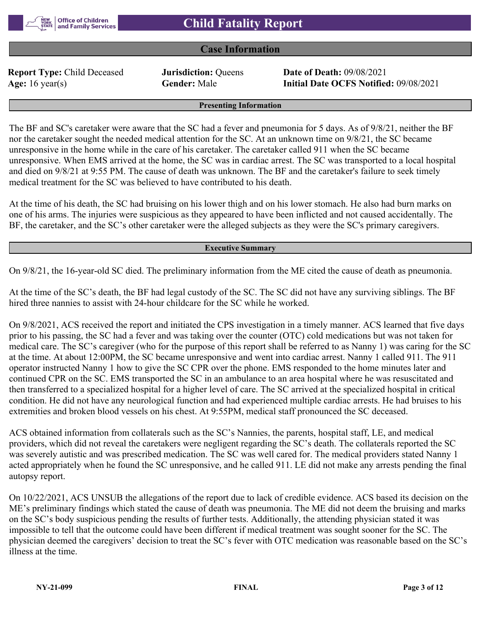

## **Case Information**

**Report Type:** Child Deceased **Jurisdiction:** Queens **Date of Death:** 09/08/2021

**Age:** 16 year(s) **Gender:** Male **Initial Date OCFS Notified:** 09/08/2021

#### **Presenting Information**

The BF and SC's caretaker were aware that the SC had a fever and pneumonia for 5 days. As of 9/8/21, neither the BF nor the caretaker sought the needed medical attention for the SC. At an unknown time on 9/8/21, the SC became unresponsive in the home while in the care of his caretaker. The caretaker called 911 when the SC became unresponsive. When EMS arrived at the home, the SC was in cardiac arrest. The SC was transported to a local hospital and died on 9/8/21 at 9:55 PM. The cause of death was unknown. The BF and the caretaker's failure to seek timely medical treatment for the SC was believed to have contributed to his death.

At the time of his death, the SC had bruising on his lower thigh and on his lower stomach. He also had burn marks on one of his arms. The injuries were suspicious as they appeared to have been inflicted and not caused accidentally. The BF, the caretaker, and the SC's other caretaker were the alleged subjects as they were the SC's primary caregivers.

#### **Executive Summary**

On 9/8/21, the 16-year-old SC died. The preliminary information from the ME cited the cause of death as pneumonia.

At the time of the SC's death, the BF had legal custody of the SC. The SC did not have any surviving siblings. The BF hired three nannies to assist with 24-hour childcare for the SC while he worked.

On 9/8/2021, ACS received the report and initiated the CPS investigation in a timely manner. ACS learned that five days prior to his passing, the SC had a fever and was taking over the counter (OTC) cold medications but was not taken for medical care. The SC's caregiver (who for the purpose of this report shall be referred to as Nanny 1) was caring for the SC at the time. At about 12:00PM, the SC became unresponsive and went into cardiac arrest. Nanny 1 called 911. The 911 operator instructed Nanny 1 how to give the SC CPR over the phone. EMS responded to the home minutes later and continued CPR on the SC. EMS transported the SC in an ambulance to an area hospital where he was resuscitated and then transferred to a specialized hospital for a higher level of care. The SC arrived at the specialized hospital in critical condition. He did not have any neurological function and had experienced multiple cardiac arrests. He had bruises to his extremities and broken blood vessels on his chest. At 9:55PM, medical staff pronounced the SC deceased.

ACS obtained information from collaterals such as the SC's Nannies, the parents, hospital staff, LE, and medical providers, which did not reveal the caretakers were negligent regarding the SC's death. The collaterals reported the SC was severely autistic and was prescribed medication. The SC was well cared for. The medical providers stated Nanny 1 acted appropriately when he found the SC unresponsive, and he called 911. LE did not make any arrests pending the final autopsy report.

On 10/22/2021, ACS UNSUB the allegations of the report due to lack of credible evidence. ACS based its decision on the ME's preliminary findings which stated the cause of death was pneumonia. The ME did not deem the bruising and marks on the SC's body suspicious pending the results of further tests. Additionally, the attending physician stated it was impossible to tell that the outcome could have been different if medical treatment was sought sooner for the SC. The physician deemed the caregivers' decision to treat the SC's fever with OTC medication was reasonable based on the SC's illness at the time.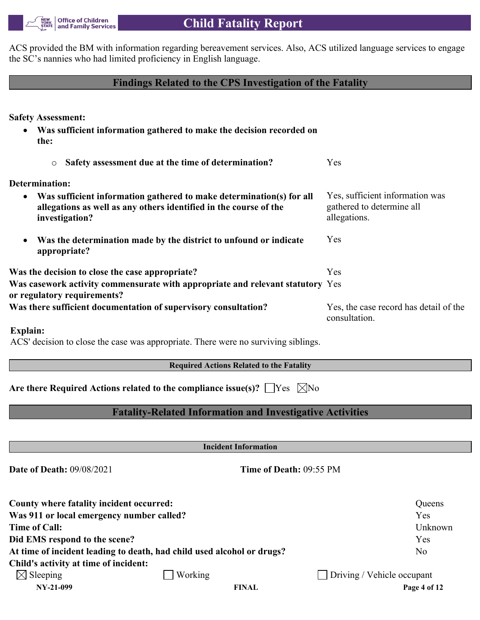

ACS provided the BM with information regarding bereavement services. Also, ACS utilized language services to engage the SC's nannies who had limited proficiency in English language.

# **Findings Related to the CPS Investigation of the Fatality**

**Safety Assessment:**

- **Was sufficient information gathered to make the decision recorded on the:**
	- o **Safety assessment due at the time of determination?** Yes

**Determination:**

- **Was sufficient information gathered to make determination(s) for all allegations as well as any others identified in the course of the investigation?** Yes, sufficient information was gathered to determine all allegations. Yes
- **Was the determination made by the district to unfound or indicate appropriate?**

**Was the decision to close the case appropriate?** Yes **Was casework activity commensurate with appropriate and relevant statutory**  Yes **or regulatory requirements? Was there sufficient documentation of supervisory consultation?** Yes, the case record has detail of the consultation.

**Explain:**

ACS' decision to close the case was appropriate. There were no surviving siblings.

**Required Actions Related to the Fatality**

**Are there Required Actions related to the compliance issue(s)?** |  $\text{Yes } \times \text{No}$ 

# **Fatality-Related Information and Investigative Activities**

**Incident Information**

**Date of Death:** 09/08/2021 **Time of Death:** 09:55 PM

| County where fatality incident occurred:  |                                                                        | Queens                            |
|-------------------------------------------|------------------------------------------------------------------------|-----------------------------------|
| Was 911 or local emergency number called? |                                                                        | Yes                               |
| <b>Time of Call:</b>                      |                                                                        | Unknown                           |
| Did EMS respond to the scene?             |                                                                        | Yes                               |
|                                           | At time of incident leading to death, had child used alcohol or drugs? | N <sub>o</sub>                    |
| Child's activity at time of incident:     |                                                                        |                                   |
| $\boxtimes$ Sleeping                      | Working                                                                | $\Box$ Driving / Vehicle occupant |
| NY-21-099                                 | <b>FINAL</b>                                                           | Page 4 of 12                      |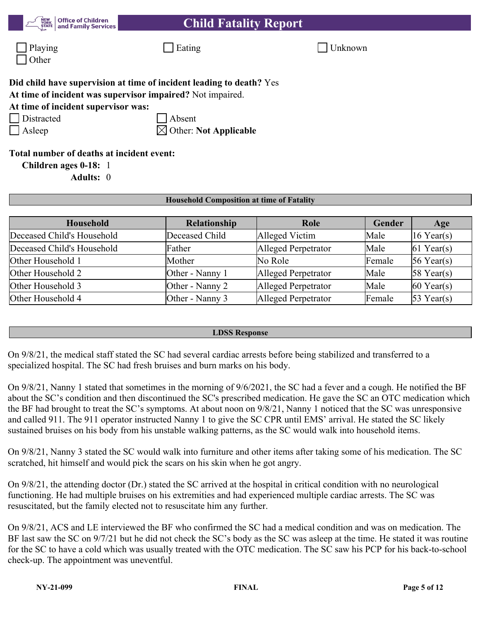| <b>Office of Children</b><br><b>NEW<br/>YORK</b><br><b>Child Fatality Report</b><br>and Family Services<br><b>STATE</b>                                                                               |                                 |                |         |            |  |  |  |  |
|-------------------------------------------------------------------------------------------------------------------------------------------------------------------------------------------------------|---------------------------------|----------------|---------|------------|--|--|--|--|
| Playing<br>Other                                                                                                                                                                                      | Eating                          |                | Unknown |            |  |  |  |  |
| Did child have supervision at time of incident leading to death? Yes<br>At time of incident was supervisor impaired? Not impaired.<br>At time of incident supervisor was:<br>Distracted<br>$ $ Asleep | Absent<br>Other: Not Applicable |                |         |            |  |  |  |  |
| Total number of deaths at incident event:<br>Children ages 0-18: 1<br>Adults: 0                                                                                                                       |                                 |                |         |            |  |  |  |  |
| <b>Household Composition at time of Fatality</b>                                                                                                                                                      |                                 |                |         |            |  |  |  |  |
| Household                                                                                                                                                                                             | <b>Relationship</b>             | Role           | Gender  | Age        |  |  |  |  |
| Deceased Child's Household                                                                                                                                                                            | Deceased Child                  | Alleged Victim | Male    | 16 Year(s) |  |  |  |  |

| Other Household 1 | Mother          | No Role             | Female | $56$ Year(s)           |
|-------------------|-----------------|---------------------|--------|------------------------|
| Other Household 2 | Other - Nanny 1 | Alleged Perpetrator | Male   | $58$ Year(s)           |
| Other Household 3 | Other - Nanny 2 | Alleged Perpetrator | Male   | $ 60 \text{ Year}(s) $ |
| Other Household 4 | Other - Nanny 3 | Alleged Perpetrator | Female | $ 53 \text{ Year}(s) $ |
|                   |                 |                     |        |                        |
|                   |                 |                     |        |                        |

Deceased Child's Household Father Alleged Perpetrator Male 61 Year(s)

## **LDSS Response**

On 9/8/21, the medical staff stated the SC had several cardiac arrests before being stabilized and transferred to a specialized hospital. The SC had fresh bruises and burn marks on his body.

On 9/8/21, Nanny 1 stated that sometimes in the morning of 9/6/2021, the SC had a fever and a cough. He notified the BF about the SC's condition and then discontinued the SC's prescribed medication. He gave the SC an OTC medication which the BF had brought to treat the SC's symptoms. At about noon on 9/8/21, Nanny 1 noticed that the SC was unresponsive and called 911. The 911 operator instructed Nanny 1 to give the SC CPR until EMS' arrival. He stated the SC likely sustained bruises on his body from his unstable walking patterns, as the SC would walk into household items.

On 9/8/21, Nanny 3 stated the SC would walk into furniture and other items after taking some of his medication. The SC scratched, hit himself and would pick the scars on his skin when he got angry.

On 9/8/21, the attending doctor (Dr.) stated the SC arrived at the hospital in critical condition with no neurological functioning. He had multiple bruises on his extremities and had experienced multiple cardiac arrests. The SC was resuscitated, but the family elected not to resuscitate him any further.

On 9/8/21, ACS and LE interviewed the BF who confirmed the SC had a medical condition and was on medication. The BF last saw the SC on 9/7/21 but he did not check the SC's body as the SC was asleep at the time. He stated it was routine for the SC to have a cold which was usually treated with the OTC medication. The SC saw his PCP for his back-to-school check-up. The appointment was uneventful.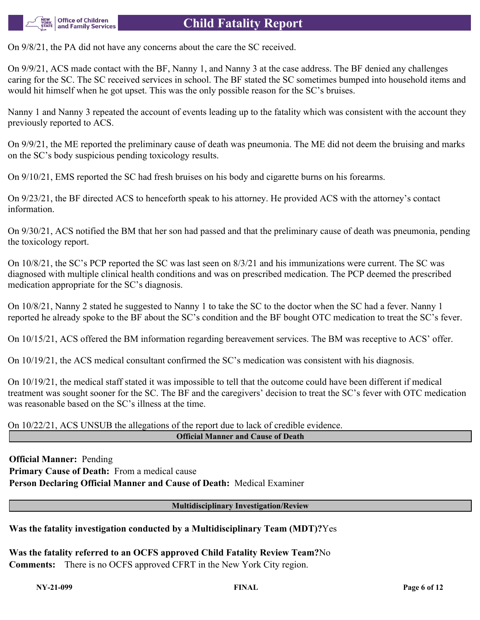

# **Child Fatality Report**

On 9/8/21, the PA did not have any concerns about the care the SC received.

On 9/9/21, ACS made contact with the BF, Nanny 1, and Nanny 3 at the case address. The BF denied any challenges caring for the SC. The SC received services in school. The BF stated the SC sometimes bumped into household items and would hit himself when he got upset. This was the only possible reason for the SC's bruises.

Nanny 1 and Nanny 3 repeated the account of events leading up to the fatality which was consistent with the account they previously reported to ACS.

On 9/9/21, the ME reported the preliminary cause of death was pneumonia. The ME did not deem the bruising and marks on the SC's body suspicious pending toxicology results.

On 9/10/21, EMS reported the SC had fresh bruises on his body and cigarette burns on his forearms.

On 9/23/21, the BF directed ACS to henceforth speak to his attorney. He provided ACS with the attorney's contact information.

On 9/30/21, ACS notified the BM that her son had passed and that the preliminary cause of death was pneumonia, pending the toxicology report.

On 10/8/21, the SC's PCP reported the SC was last seen on 8/3/21 and his immunizations were current. The SC was diagnosed with multiple clinical health conditions and was on prescribed medication. The PCP deemed the prescribed medication appropriate for the SC's diagnosis.

On 10/8/21, Nanny 2 stated he suggested to Nanny 1 to take the SC to the doctor when the SC had a fever. Nanny 1 reported he already spoke to the BF about the SC's condition and the BF bought OTC medication to treat the SC's fever.

On 10/15/21, ACS offered the BM information regarding bereavement services. The BM was receptive to ACS' offer.

On 10/19/21, the ACS medical consultant confirmed the SC's medication was consistent with his diagnosis.

On 10/19/21, the medical staff stated it was impossible to tell that the outcome could have been different if medical treatment was sought sooner for the SC. The BF and the caregivers' decision to treat the SC's fever with OTC medication was reasonable based on the SC's illness at the time.

On 10/22/21, ACS UNSUB the allegations of the report due to lack of credible evidence. **Official Manner and Cause of Death**

**Official Manner:** Pending **Primary Cause of Death:** From a medical cause **Person Declaring Official Manner and Cause of Death:** Medical Examiner

### **Multidisciplinary Investigation/Review**

## **Was the fatality investigation conducted by a Multidisciplinary Team (MDT)?**Yes

**Was the fatality referred to an OCFS approved Child Fatality Review Team?**No **Comments:** There is no OCFS approved CFRT in the New York City region.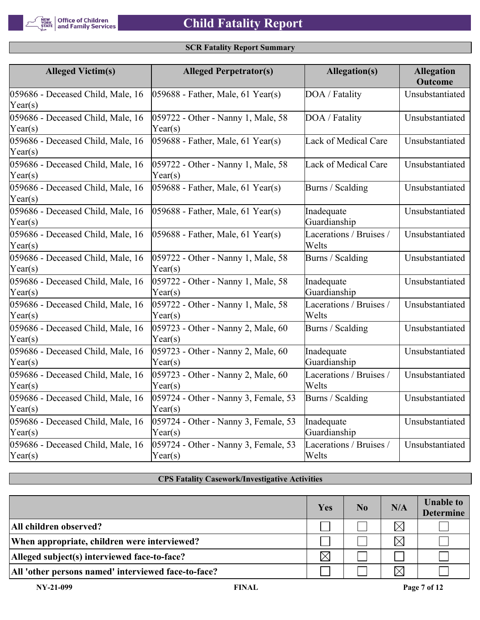## **SCR Fatality Report Summary**

| <b>Alleged Victim(s)</b>                              | <b>Alleged Perpetrator(s)</b>                   | Allegation(s)                    | <b>Allegation</b><br><b>Outcome</b> |
|-------------------------------------------------------|-------------------------------------------------|----------------------------------|-------------------------------------|
| 059686 - Deceased Child, Male, 16<br>$\text{Year}(s)$ | $ 059688$ - Father, Male, 61 Year(s)            | DOA / Fatality                   | Unsubstantiated                     |
| 059686 - Deceased Child, Male, 16<br>$\text{Year}(s)$ | 059722 - Other - Nanny 1, Male, 58<br>Year(s)   | DOA / Fatality                   | Unsubstantiated                     |
| 059686 - Deceased Child, Male, 16<br>$\text{Year}(s)$ | $ 059688 -$ Father, Male, 61 Year(s)            | Lack of Medical Care             | Unsubstantiated                     |
| 059686 - Deceased Child, Male, 16<br>$\text{Year}(s)$ | 059722 - Other - Nanny 1, Male, 58<br>Year(s)   | Lack of Medical Care             | Unsubstantiated                     |
| 059686 - Deceased Child, Male, 16<br>$\text{Year}(s)$ | $ 059688 -$ Father, Male, 61 Year(s)            | Burns / Scalding                 | Unsubstantiated                     |
| 059686 - Deceased Child, Male, 16<br>$\text{Year}(s)$ | $ 059688$ - Father, Male, 61 Year(s)            | Inadequate<br>Guardianship       | Unsubstantiated                     |
| 059686 - Deceased Child, Male, 16<br>$\text{Year}(s)$ | $ 059688$ - Father, Male, 61 Year(s)            | Lacerations / Bruises /<br>Welts | Unsubstantiated                     |
| 059686 - Deceased Child, Male, 16<br>$\text{Year}(s)$ | 059722 - Other - Nanny 1, Male, 58<br>Year(s)   | Burns / Scalding                 | Unsubstantiated                     |
| 059686 - Deceased Child, Male, 16<br>$\text{Year}(s)$ | 059722 - Other - Nanny 1, Male, 58<br>Year(s)   | Inadequate<br>Guardianship       | Unsubstantiated                     |
| 059686 - Deceased Child, Male, 16<br>$\text{Year}(s)$ | 059722 - Other - Nanny 1, Male, 58<br>Year(s)   | Lacerations / Bruises /<br>Welts | Unsubstantiated                     |
| 059686 - Deceased Child, Male, 16<br>$\text{Year}(s)$ | 059723 - Other - Nanny 2, Male, 60<br>Year(s)   | Burns / Scalding                 | Unsubstantiated                     |
| 059686 - Deceased Child, Male, 16<br>$\text{Year}(s)$ | 059723 - Other - Nanny 2, Male, 60<br>Year(s)   | Inadequate<br>Guardianship       | Unsubstantiated                     |
| 059686 - Deceased Child, Male, 16<br>$\text{Year}(s)$ | 059723 - Other - Nanny 2, Male, 60<br>Year(s)   | Lacerations / Bruises /<br>Welts | Unsubstantiated                     |
| 059686 - Deceased Child, Male, 16<br>$\text{Year}(s)$ | 059724 - Other - Nanny 3, Female, 53<br>Year(s) | Burns / Scalding                 | Unsubstantiated                     |
| 059686 - Deceased Child, Male, 16<br>$\text{Year}(s)$ | 059724 - Other - Nanny 3, Female, 53<br>Year(s) | Inadequate<br>Guardianship       | Unsubstantiated                     |
| 059686 - Deceased Child, Male, 16<br>$\text{Year}(s)$ | 059724 - Other - Nanny 3, Female, 53<br>Year(s) | Lacerations / Bruises /<br>Welts | Unsubstantiated                     |

### **CPS Fatality Casework/Investigative Activities**

|                                                     | Yes      | No. | N/A      | <b>Unable to</b><br><b>Determine</b> |
|-----------------------------------------------------|----------|-----|----------|--------------------------------------|
| All children observed?                              |          |     | $\times$ |                                      |
| When appropriate, children were interviewed?        |          |     | $\times$ |                                      |
| Alleged subject(s) interviewed face-to-face?        | $\times$ |     |          |                                      |
| All 'other persons named' interviewed face-to-face? |          |     | $\times$ |                                      |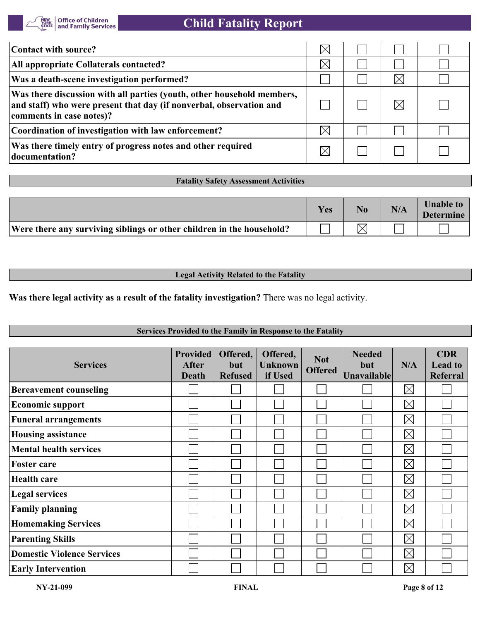

| Contact with source?                                                                                                                                                      |  |  |
|---------------------------------------------------------------------------------------------------------------------------------------------------------------------------|--|--|
| All appropriate Collaterals contacted?                                                                                                                                    |  |  |
| Was a death-scene investigation performed?                                                                                                                                |  |  |
| Was there discussion with all parties (youth, other household members,<br>and staff) who were present that day (if nonverbal, observation and<br>comments in case notes)? |  |  |
| Coordination of investigation with law enforcement?                                                                                                                       |  |  |
| Was there timely entry of progress notes and other required<br>documentation?                                                                                             |  |  |

#### **Fatality Safety Assessment Activities**

|                                                                       | Yes | No. | N/A | <b>Unable to</b><br><b>Determine</b> |
|-----------------------------------------------------------------------|-----|-----|-----|--------------------------------------|
| Were there any surviving siblings or other children in the household? |     |     |     |                                      |

### **Legal Activity Related to the Fatality**

**Was there legal activity as a result of the fatality investigation?** There was no legal activity.

### **Services Provided to the Family in Response to the Fatality**

| <b>Services</b>                   | <b>Provided</b><br>After<br><b>Death</b> | Offered,<br><b>but</b><br><b>Refused</b> | Offered,<br><b>Unknown</b><br>if Used | <b>Not</b><br><b>Offered</b> | <b>Needed</b><br>but<br><b>Unavailable</b> | N/A         | <b>CDR</b><br><b>Lead to</b><br><b>Referral</b> |
|-----------------------------------|------------------------------------------|------------------------------------------|---------------------------------------|------------------------------|--------------------------------------------|-------------|-------------------------------------------------|
| <b>Bereavement counseling</b>     |                                          |                                          |                                       |                              |                                            | $\boxtimes$ |                                                 |
| <b>Economic support</b>           |                                          |                                          |                                       |                              |                                            | $\boxtimes$ |                                                 |
| <b>Funeral arrangements</b>       |                                          |                                          |                                       |                              |                                            | $\boxtimes$ |                                                 |
| <b>Housing assistance</b>         |                                          |                                          |                                       |                              |                                            | $\boxtimes$ |                                                 |
| <b>Mental health services</b>     |                                          |                                          |                                       |                              |                                            | $\boxtimes$ |                                                 |
| <b>Foster care</b>                |                                          |                                          |                                       |                              |                                            | $\boxtimes$ |                                                 |
| <b>Health care</b>                |                                          |                                          |                                       |                              |                                            | $\boxtimes$ |                                                 |
| <b>Legal services</b>             |                                          |                                          |                                       |                              |                                            | $\boxtimes$ |                                                 |
| <b>Family planning</b>            |                                          |                                          |                                       |                              |                                            | $\boxtimes$ |                                                 |
| <b>Homemaking Services</b>        |                                          |                                          |                                       |                              |                                            | $\boxtimes$ |                                                 |
| <b>Parenting Skills</b>           |                                          |                                          |                                       |                              |                                            | $\boxtimes$ |                                                 |
| <b>Domestic Violence Services</b> |                                          |                                          |                                       |                              |                                            | $\boxtimes$ |                                                 |
| <b>Early Intervention</b>         |                                          |                                          |                                       |                              |                                            | $\boxtimes$ |                                                 |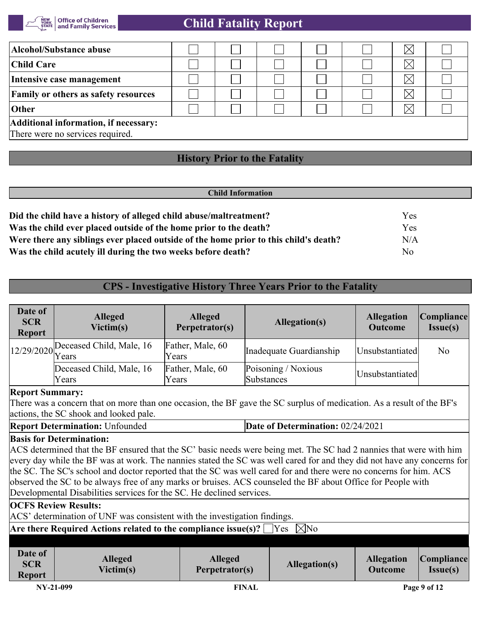

# **Child Fatality Report**

| Alcohol/Substance abuse                                                   |  |  |  |  |  | Ж           |  |
|---------------------------------------------------------------------------|--|--|--|--|--|-------------|--|
| <b>Child Care</b>                                                         |  |  |  |  |  |             |  |
| Intensive case management                                                 |  |  |  |  |  |             |  |
| <b>Family or others as safety resources</b>                               |  |  |  |  |  | $\boxtimes$ |  |
| Other                                                                     |  |  |  |  |  |             |  |
| Additional information, if necessary:<br>There were no services required. |  |  |  |  |  |             |  |

# **History Prior to the Fatality**

| Yes |  |
|-----|--|
| Yes |  |
| N/A |  |
| No  |  |
|     |  |

# **CPS - Investigative History Three Years Prior to the Fatality**

| Date of<br><b>SCR</b><br><b>Report</b> | <b>Alleged</b><br>Victim(s)                    | <b>Alleged</b><br>Perpetrator(s) | Allegation(s)                     | <b>Allegation</b><br><b>Outcome</b> | Compliance <br>Issue(s) |
|----------------------------------------|------------------------------------------------|----------------------------------|-----------------------------------|-------------------------------------|-------------------------|
|                                        | $12/29/2020$ Deceased Child, Male, 16<br>Years | Father, Male, 60<br>Years        | Inadequate Guardianship           | Unsubstantiated                     | No                      |
|                                        | Deceased Child, Male, 16<br>Years              | Father, Male, 60<br>Years        | Poisoning / Noxious<br>Substances | Unsubstantiated                     |                         |
| Ronart Summarve                        |                                                |                                  |                                   |                                     |                         |

### **Report Summary:**

There was a concern that on more than one occasion, the BF gave the SC surplus of medication. As a result of the BF's actions, the SC shook and looked pale.

| <b>Report Determination: Unfounded</b> | Date of Determination: 02/24/2021 |
|----------------------------------------|-----------------------------------|
|----------------------------------------|-----------------------------------|

### **Basis for Determination:**

ACS determined that the BF ensured that the SC' basic needs were being met. The SC had 2 nannies that were with him every day while the BF was at work. The nannies stated the SC was well cared for and they did not have any concerns for the SC. The SC's school and doctor reported that the SC was well cared for and there were no concerns for him. ACS observed the SC to be always free of any marks or bruises. ACS counseled the BF about Office for People with Developmental Disabilities services for the SC. He declined services.

#### **OCFS Review Results:**

ACS' determination of UNF was consistent with the investigation findings.

**Are there Required Actions related to the compliance issue(s)?**  $\Box$  Yes  $\Box$  No

| <b>Date of</b><br><b>SCR</b><br><b>Report</b> | <b>Alleged</b><br>Victim(s) | <b>Alleged</b><br>Perpetrator(s) | Allegation(s) | <b>Allegation</b><br><b>Outcome</b> | Compliance <br><b>Issue(s)</b> |
|-----------------------------------------------|-----------------------------|----------------------------------|---------------|-------------------------------------|--------------------------------|
| NY-21-099                                     |                             | <b>FINAL</b>                     |               |                                     | Page 9 of 12                   |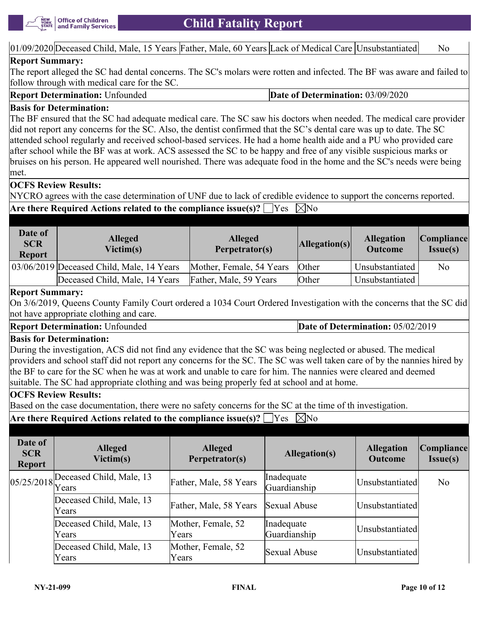

 $|01/09/2020|$ Deceased Child, Male, 15 Years Father, Male, 60 Years Lack of Medical Care Unsubstantiated No

### **Report Summary:**

The report alleged the SC had dental concerns. The SC's molars were rotten and infected. The BF was aware and failed to follow through with medical care for the SC.

**Report Determination:** Unfounded **Date of Determination:** 03/09/2020

### **Basis for Determination:**

The BF ensured that the SC had adequate medical care. The SC saw his doctors when needed. The medical care provider did not report any concerns for the SC. Also, the dentist confirmed that the SC's dental care was up to date. The SC attended school regularly and received school-based services. He had a home health aide and a PU who provided care after school while the BF was at work. ACS assessed the SC to be happy and free of any visible suspicious marks or bruises on his person. He appeared well nourished. There was adequate food in the home and the SC's needs were being met.

### **OCFS Review Results:**

NYCRO agrees with the case determination of UNF due to lack of credible evidence to support the concerns reported.

**Are there Required Actions related to the compliance issue(s)?**  $\Box$  Yes  $\Box$  No

| Date of<br><b>SCR</b><br><b>Report</b> | <b>Alleged</b><br>Victim(s)               | <b>Alleged</b><br>Perpetrator(s) | $\left  \text{Allegation}(s) \right $ | <b>Allegation</b><br><b>Outcome</b> | <i>Compliance</i><br>Issue(s) |
|----------------------------------------|-------------------------------------------|----------------------------------|---------------------------------------|-------------------------------------|-------------------------------|
|                                        | 03/06/2019 Deceased Child, Male, 14 Years | Mother, Female, 54 Years         | Other                                 | Unsubstantiated                     | N <sub>o</sub>                |
|                                        | Deceased Child, Male, 14 Years            | Father, Male, 59 Years           | Other                                 | Unsubstantiated                     |                               |

### **Report Summary:**

On 3/6/2019, Queens County Family Court ordered a 1034 Court Ordered Investigation with the concerns that the SC did not have appropriate clothing and care.

**Report Determination:** Unfounded **Date of Determination: 05/02/2019** 

### **Basis for Determination:**

During the investigation, ACS did not find any evidence that the SC was being neglected or abused. The medical providers and school staff did not report any concerns for the SC. The SC was well taken care of by the nannies hired by the BF to care for the SC when he was at work and unable to care for him. The nannies were cleared and deemed suitable. The SC had appropriate clothing and was being properly fed at school and at home.

### **OCFS Review Results:**

Based on the case documentation, there were no safety concerns for the SC at the time of th investigation.

**Are there Required Actions related to the compliance issue(s)?**  $\Box$  Yes  $\Box$  No

| Date of<br><b>SCR</b><br><b>Report</b> | <b>Alleged</b><br>Victim(s)              | <b>Alleged</b><br>Perpetrator(s) | Allegation(s)              | <b>Allegation</b><br><b>Outcome</b> | Compliance <br>$Issue(s)$ |
|----------------------------------------|------------------------------------------|----------------------------------|----------------------------|-------------------------------------|---------------------------|
|                                        | $\left 05/25/2018\right $ Years<br>Years | Father, Male, 58 Years           | Inadequate<br>Guardianship | Unsubstantiated                     | No                        |
|                                        | Deceased Child, Male, 13<br><b>Years</b> | Father, Male, 58 Years           | Sexual Abuse               | Unsubstantiated                     |                           |
|                                        | Deceased Child, Male, 13<br>Years        | Mother, Female, 52<br>Years      | Inadequate<br>Guardianship | Unsubstantiated                     |                           |
|                                        | Deceased Child, Male, 13<br>Years        | Mother, Female, 52<br>Years      | Sexual Abuse               | Unsubstantiated                     |                           |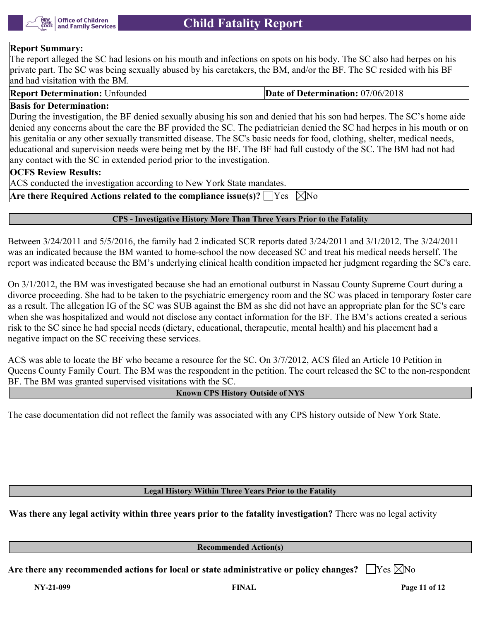

# **Report Summary:**

The report alleged the SC had lesions on his mouth and infections on spots on his body. The SC also had herpes on his private part. The SC was being sexually abused by his caretakers, the BM, and/or the BF. The SC resided with his BF land had visitation with the BM.

**Report Determination:** Unfounded **Date of Determination: 07/06/2018** 

### **Basis for Determination:**

During the investigation, the BF denied sexually abusing his son and denied that his son had herpes. The SC's home aide denied any concerns about the care the BF provided the SC. The pediatrician denied the SC had herpes in his mouth or on his genitalia or any other sexually transmitted disease. The SC's basic needs for food, clothing, shelter, medical needs, educational and supervision needs were being met by the BF. The BF had full custody of the SC. The BM had not had any contact with the SC in extended period prior to the investigation.

#### **OCFS Review Results:**

ACS conducted the investigation according to New York State mandates.

Are there Required Actions related to the compliance issue(s)?  $\Box$  Yes  $\Box$  No

#### **CPS - Investigative History More Than Three Years Prior to the Fatality**

Between 3/24/2011 and 5/5/2016, the family had 2 indicated SCR reports dated 3/24/2011 and 3/1/2012. The 3/24/2011 was an indicated because the BM wanted to home-school the now deceased SC and treat his medical needs herself. The report was indicated because the BM's underlying clinical health condition impacted her judgment regarding the SC's care.

On 3/1/2012, the BM was investigated because she had an emotional outburst in Nassau County Supreme Court during a divorce proceeding. She had to be taken to the psychiatric emergency room and the SC was placed in temporary foster care as a result. The allegation IG of the SC was SUB against the BM as she did not have an appropriate plan for the SC's care when she was hospitalized and would not disclose any contact information for the BF. The BM's actions created a serious risk to the SC since he had special needs (dietary, educational, therapeutic, mental health) and his placement had a negative impact on the SC receiving these services.

ACS was able to locate the BF who became a resource for the SC. On 3/7/2012, ACS filed an Article 10 Petition in Queens County Family Court. The BM was the respondent in the petition. The court released the SC to the non-respondent BF. The BM was granted supervised visitations with the SC.

### **Known CPS History Outside of NYS**

The case documentation did not reflect the family was associated with any CPS history outside of New York State.

**Legal History Within Three Years Prior to the Fatality**

**Was there any legal activity within three years prior to the fatality investigation?** There was no legal activity

**Recommended Action(s)**

Are there any recommended actions for local or state administrative or policy changes?  $\Box$  Yes  $\boxtimes$  No